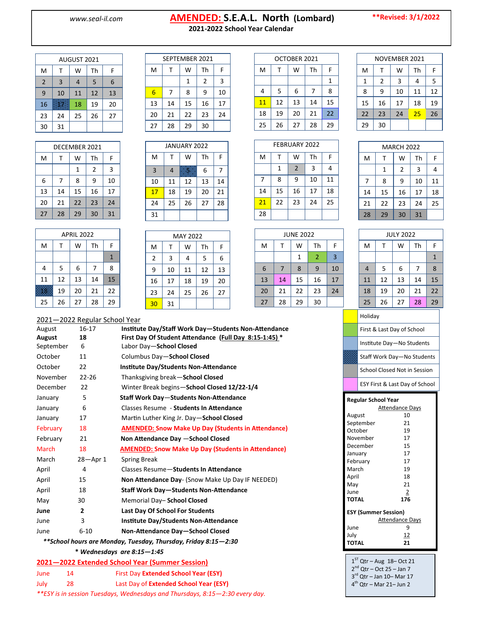## www.seal-il.com **AMENDED: S.E.A.L. North (Lombard)**<br>2021-2022 School Year Calendar **2021-2022 School Year Calendar**

**\*\*Revised: 3/1/2022**

| :021-2022 School Year Calenda |  |
|-------------------------------|--|
|-------------------------------|--|

| AUGUST 2021    |    |    |    |    |  |  |
|----------------|----|----|----|----|--|--|
| M              | т  | W  | Th | F  |  |  |
| $\overline{2}$ | 3  | 4  | 5  | 6  |  |  |
| 9              | 10 | 11 | 12 | 13 |  |  |
| 16             |    | 18 | 19 | 20 |  |  |
| 23             | 24 | 25 | 26 | 27 |  |  |
| 30             | 31 |    |    |    |  |  |

| DECEMBER 2021 |    |    |    |    |  |  |
|---------------|----|----|----|----|--|--|
| M             | т  | W  | Th | F  |  |  |
|               |    | 1  | 2  | 3  |  |  |
| 6             | 7  | 8  | 9  | 10 |  |  |
| 13            | 14 | 15 | 16 | 17 |  |  |
| 20            | 21 | 22 | 23 | 24 |  |  |
| 27            | 28 | 29 | 30 | 31 |  |  |

| <b>APRIL 2022</b> |    |    |    |              |  |
|-------------------|----|----|----|--------------|--|
| M                 | т  | W  | Th | F            |  |
|                   |    |    |    | $\mathbf{1}$ |  |
| 4                 | 5  | 6  | 7  | 8            |  |
| 11                | 12 | 13 | 14 | 15           |  |
|                   | 19 | 20 | 21 | 22           |  |
| 25                | 26 | 27 | 28 | 29           |  |

|                        | SEPTEMBER 2021 |    |    |    |  |  |  |
|------------------------|----------------|----|----|----|--|--|--|
| Th<br>M<br>w<br>F<br>т |                |    |    |    |  |  |  |
|                        |                | 1  | 2  | 3  |  |  |  |
| 6                      | 7              | 8  | 9  | 10 |  |  |  |
| 13                     | 14             | 15 | 16 | 17 |  |  |  |
| 20                     | 21             | 22 | 23 | 24 |  |  |  |
| 27                     | 28             | 29 | 30 |    |  |  |  |

| JANUARY 2022   |    |    |    |    |  |
|----------------|----|----|----|----|--|
| M              | т  | w  | Th | F  |  |
| $\overline{3}$ | 4  | Œ. | 6  | 7  |  |
| 10             | 11 | 12 | 13 | 14 |  |
| 17             | 18 | 19 | 20 | 21 |  |
| 24             | 25 | 26 | 27 | 28 |  |
| 31             |    |    |    |    |  |

|                | <b>MAY 2022</b> |    |    |    |  |  |
|----------------|-----------------|----|----|----|--|--|
| M              | т               | W  | Th | F  |  |  |
| $\overline{2}$ | 3               | 4  | 5  | 6  |  |  |
| 9              | 10              | 11 | 12 | 13 |  |  |
| 16             | 17              | 18 | 19 | 20 |  |  |
| 23             | 24              | 25 | 26 | 27 |  |  |
| 30             | 31              |    |    |    |  |  |

| OCTOBER 2021 |    |    |    |    |  |  |
|--------------|----|----|----|----|--|--|
| M            | т  | w  | Th | F  |  |  |
|              |    |    |    | 1  |  |  |
| 4            | 5  | 6  | 7  | 8  |  |  |
| 11           | 12 | 13 | 14 | 15 |  |  |
| 18           | 19 | 20 | 21 | 22 |  |  |
| 25           | 26 | 27 | 28 | 29 |  |  |
|              |    |    |    |    |  |  |

| NOVEMBER 2021 |    |    |    |    |  |  |
|---------------|----|----|----|----|--|--|
| M             | т  | W  | Th | F  |  |  |
| 1             | 2  | 3  | 4  | 5  |  |  |
| 8             | 9  | 10 | 11 | 12 |  |  |
| 15            | 16 | 17 | 18 | 19 |  |  |
| 22            | 23 | 24 | 25 | 26 |  |  |
| 29            | 30 |    |    |    |  |  |

MARCH 2022  $M$  T W Th F

| FEBRUARY 2022 |    |                |    |    |  |
|---------------|----|----------------|----|----|--|
| M             | т  | W              | Th | F  |  |
|               | 1  | $\overline{2}$ | 3  | 4  |  |
| 7             | 8  | 9              | 10 | 11 |  |
| 14            | 15 | 16             | 17 | 18 |  |
| 21            | 22 | 23             | 24 | 25 |  |
| 28            |    |                |    |    |  |

JUNE 2022  $M$  T W Th F

 | 7 | 8 | 9 | 10 14 15 16 17 21 22 23 24  $27 \mid 28 \mid 29 \mid 30$ 

 $1 \mid 2 \mid 3$ 

|          | 1  | 2                | 3  | 4  |
|----------|----|------------------|----|----|
| 7        | 8  | 9                | 10 | 11 |
| 14       | 15 | 16               | 17 | 18 |
| 21       | 22 | 23               | 24 | 25 |
| 28       | 29 | 30               | 31 |    |
|          |    |                  |    |    |
|          |    | <b>JULY 2022</b> |    |    |
| <b>A</b> |    | <b>A</b>         |    |    |

| <b>JULY 2022</b>  |    |    |    |    |  |  |  |
|-------------------|----|----|----|----|--|--|--|
| Th<br>M<br>W<br>т |    |    |    |    |  |  |  |
|                   |    |    |    | 1  |  |  |  |
| $\overline{4}$    | 5  | 6  | 7  | 8  |  |  |  |
| 11                | 12 | 13 | 14 | 15 |  |  |  |
| 18                | 19 | 20 | 21 | 22 |  |  |  |
| 25                | 26 | 27 | 28 | 29 |  |  |  |
| Holiday           |    |    |    |    |  |  |  |

2021—2022 Regular School Year

| August       | $16-17$        | Institute Day/Staff Work Day-Students Non-Attendance      |
|--------------|----------------|-----------------------------------------------------------|
| August       | 18             | First Day Of Student Attendance (Full Day 8:15-1:45) *    |
| September    | 6              | Labor Day-School Closed                                   |
| October      | 11             | Columbus Day-School Closed                                |
| October      | 22             | <b>Institute Day/Students Non-Attendance</b>              |
| November     | $22 - 26$      | Thanksgiving break-School Closed                          |
| December     | 22             | Winter Break begins-School Closed 12/22-1/4               |
| January      | 5              | <b>Staff Work Day-Students Non-Attendance</b>             |
| January      | 6              | Classes Resume - Students In Attendance                   |
| January      | 17             | Martin Luther King Jr. Day-School Closed                  |
| February     | 18             | <b>AMENDED: Snow Make Up Day (Students in Attendance)</b> |
| February     | 21             | Non Attendance Day - School Closed                        |
|              |                |                                                           |
| <b>March</b> | 18             | <b>AMENDED: Snow Make Up Day (Students in Attendance)</b> |
| March        | $28 -$ Apr $1$ | <b>Spring Break</b>                                       |
| April        | 4              | Classes Resume-Students In Attendance                     |
| April        | 15             | <b>Non Attendance Day- (Snow Make Up Day IF NEEDED)</b>   |
| April        | 18             | <b>Staff Work Day-Students Non-Attendance</b>             |
| May          | 30             | Memorial Day- School Closed                               |
| June         | $\overline{2}$ | <b>Last Day Of School For Students</b>                    |
| June         | 3              | <b>Institute Day/Students Non-Attendance</b>              |
| June         | $6 - 10$       | Non-Attendance Day-School Closed                          |

 **<sup>\*</sup>** *Wednesdays are 8:15—1:45*

| 2021-2022 Extended School Year (Summer Session) |    |                                           |  |  |  |
|-------------------------------------------------|----|-------------------------------------------|--|--|--|
| June                                            | 14 | First Day Extended School Year (ESY)      |  |  |  |
| July                                            | 28 | Last Day of Extended School Year (ESY)    |  |  |  |
|                                                 |    | ややきめい ビー・ビー テープ しょうしょうしょう リー・エー・エー しょうしゅぎ |  |  |  |

*\*\*ESY is in session Tuesdays, Wednesdays and Thursdays, 8:15—2:30 every day.*

First & Last Day of School Institute Day—No Students Staff Work Day—No Students School Closed Not in Session

ESY First & Last Day of School

| Regular School Year  |                        |  |  |  |  |
|----------------------|------------------------|--|--|--|--|
|                      | <b>Attendance Days</b> |  |  |  |  |
| August               | 10                     |  |  |  |  |
| September            | 21                     |  |  |  |  |
| October              | 19                     |  |  |  |  |
| November             | 17                     |  |  |  |  |
| December             | 15                     |  |  |  |  |
| January              | 17                     |  |  |  |  |
| February             | 17                     |  |  |  |  |
| March                | 19                     |  |  |  |  |
| April                | 18                     |  |  |  |  |
| Mav                  | 21                     |  |  |  |  |
| June                 | 2                      |  |  |  |  |
| TOTAL                | 176                    |  |  |  |  |
| ESY (Summer Session) |                        |  |  |  |  |
|                      | <b>Attendance Days</b> |  |  |  |  |
| June                 | 9                      |  |  |  |  |
| July                 | 12                     |  |  |  |  |
| <b>TOTAL</b>         | 21                     |  |  |  |  |
|                      |                        |  |  |  |  |

 $1<sup>ST</sup>$  Qtr – Aug  $18$ – Oct 21 2<sup>nd</sup> Qtr – Oct 25 – Jan 7 3 rd Qtr – Jan 10– Mar 17 4 th Qtr – Mar 21– Jun 2